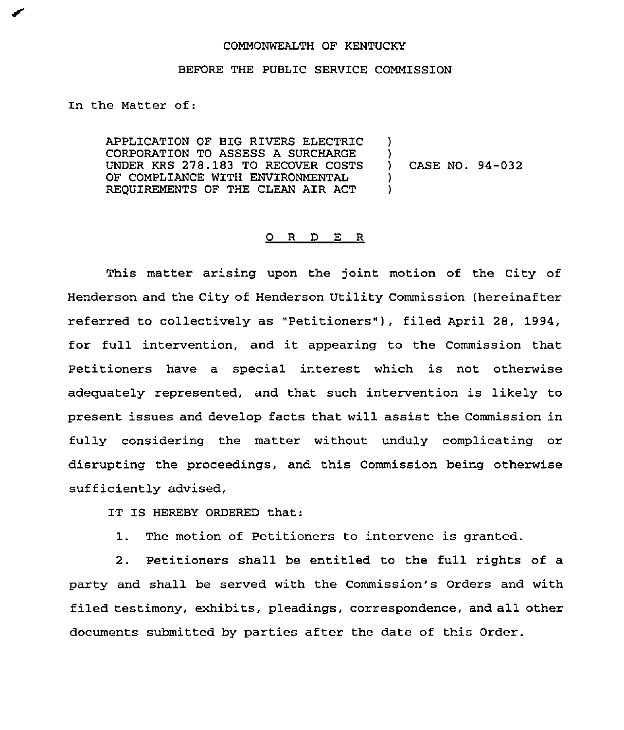## COMMONWEALTH OF KENTUCKY

## BEFORE THE PUBLIC SERVICE COMMISSION

In the Matter of:

APPLICATION OF BIG RIVERS ELECTRIC CORPORATION TO ASSESS A SURCHARGE UNDER KRS 278.183 TO RECOVER COSTS OF COMPLIANCE WITH ENVIRONMENTAL REQUIREMENTS OF THE CLEAN AIR ACT ) ) ) CASE NO. 94-032 ) )

## 0 <sup>R</sup> <sup>D</sup> E R

This matter arising upon the joint motion of the City of Henderson and the City of Henderson Utility Commission (hereinafter referred to collectively as "Petitioners" ), filed April 28, 1994, for full intervention, and it appearing to the Commission that Petitioners have a special interest which is not otherwise adequately represented, and that such intervention is likely to present issues and develop facts that will assist the Commission in fully considering the matter without unduly complicating or disrupting the proceedings, and this Commission being otherwise sufficiently advised,

IT IS HEREBY ORDERED that:

1. The motion of Petitioners to intervene is granted.

2. Petitioners shall be entitled to the full rights of a party and shall be served with the Commission's Orders and with filed testimony, exhibits, pleadings, correspondence, and all other documents submitted by parties after the date of this Order.